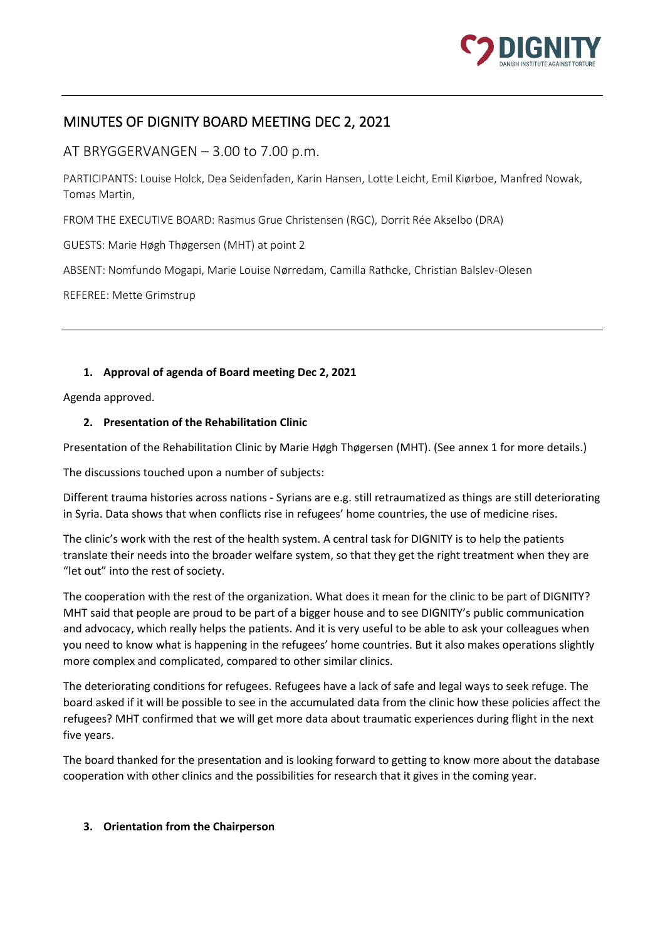

# MINUTES OF DIGNITY BOARD MEETING DEC 2, 2021

AT BRYGGERVANGEN – 3.00 to 7.00 p.m.

PARTICIPANTS: Louise Holck, Dea Seidenfaden, Karin Hansen, Lotte Leicht, Emil Kiørboe, Manfred Nowak, Tomas Martin,

FROM THE EXECUTIVE BOARD: Rasmus Grue Christensen (RGC), Dorrit Rée Akselbo (DRA)

GUESTS: Marie Høgh Thøgersen (MHT) at point 2

ABSENT: Nomfundo Mogapi, Marie Louise Nørredam, Camilla Rathcke, Christian Balslev-Olesen

REFEREE: Mette Grimstrup

# **1. Approval of agenda of Board meeting Dec 2, 2021**

Agenda approved.

# **2. Presentation of the Rehabilitation Clinic**

Presentation of the Rehabilitation Clinic by Marie Høgh Thøgersen (MHT). (See annex 1 for more details.)

The discussions touched upon a number of subjects:

Different trauma histories across nations - Syrians are e.g. still retraumatized as things are still deteriorating in Syria. Data shows that when conflicts rise in refugees' home countries, the use of medicine rises.

The clinic's work with the rest of the health system. A central task for DIGNITY is to help the patients translate their needs into the broader welfare system, so that they get the right treatment when they are "let out" into the rest of society.

The cooperation with the rest of the organization. What does it mean for the clinic to be part of DIGNITY? MHT said that people are proud to be part of a bigger house and to see DIGNITY's public communication and advocacy, which really helps the patients. And it is very useful to be able to ask your colleagues when you need to know what is happening in the refugees' home countries. But it also makes operations slightly more complex and complicated, compared to other similar clinics.

The deteriorating conditions for refugees. Refugees have a lack of safe and legal ways to seek refuge. The board asked if it will be possible to see in the accumulated data from the clinic how these policies affect the refugees? MHT confirmed that we will get more data about traumatic experiences during flight in the next five years.

The board thanked for the presentation and is looking forward to getting to know more about the database cooperation with other clinics and the possibilities for research that it gives in the coming year.

# **3. Orientation from the Chairperson**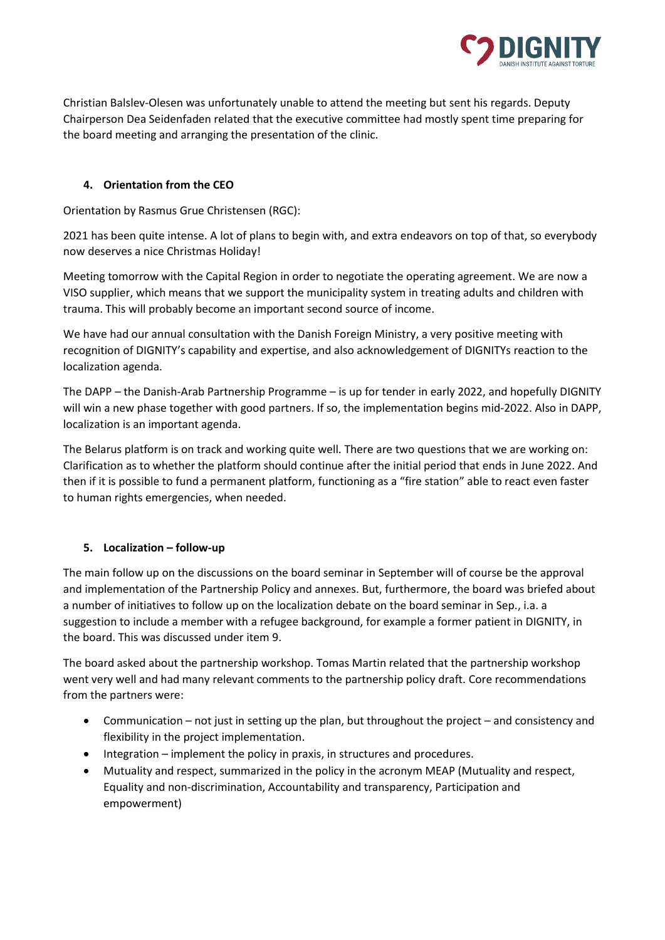

Christian Balslev-Olesen was unfortunately unable to attend the meeting but sent his regards. Deputy Chairperson Dea Seidenfaden related that the executive committee had mostly spent time preparing for the board meeting and arranging the presentation of the clinic.

# **4. Orientation from the CEO**

Orientation by Rasmus Grue Christensen (RGC):

2021 has been quite intense. A lot of plans to begin with, and extra endeavors on top of that, so everybody now deserves a nice Christmas Holiday!

Meeting tomorrow with the Capital Region in order to negotiate the operating agreement. We are now a VISO supplier, which means that we support the municipality system in treating adults and children with trauma. This will probably become an important second source of income.

We have had our annual consultation with the Danish Foreign Ministry, a very positive meeting with recognition of DIGNITY's capability and expertise, and also acknowledgement of DIGNITYs reaction to the localization agenda.

The DAPP – the Danish-Arab Partnership Programme – is up for tender in early 2022, and hopefully DIGNITY will win a new phase together with good partners. If so, the implementation begins mid-2022. Also in DAPP, localization is an important agenda.

The Belarus platform is on track and working quite well. There are two questions that we are working on: Clarification as to whether the platform should continue after the initial period that ends in June 2022. And then if it is possible to fund a permanent platform, functioning as a "fire station" able to react even faster to human rights emergencies, when needed.

# **5. Localization – follow-up**

The main follow up on the discussions on the board seminar in September will of course be the approval and implementation of the Partnership Policy and annexes. But, furthermore, the board was briefed about a number of initiatives to follow up on the localization debate on the board seminar in Sep., i.a. a suggestion to include a member with a refugee background, for example a former patient in DIGNITY, in the board. This was discussed under item 9.

The board asked about the partnership workshop. Tomas Martin related that the partnership workshop went very well and had many relevant comments to the partnership policy draft. Core recommendations from the partners were:

- Communication not just in setting up the plan, but throughout the project and consistency and flexibility in the project implementation.
- Integration implement the policy in praxis, in structures and procedures.
- Mutuality and respect, summarized in the policy in the acronym MEAP (Mutuality and respect, Equality and non-discrimination, Accountability and transparency, Participation and empowerment)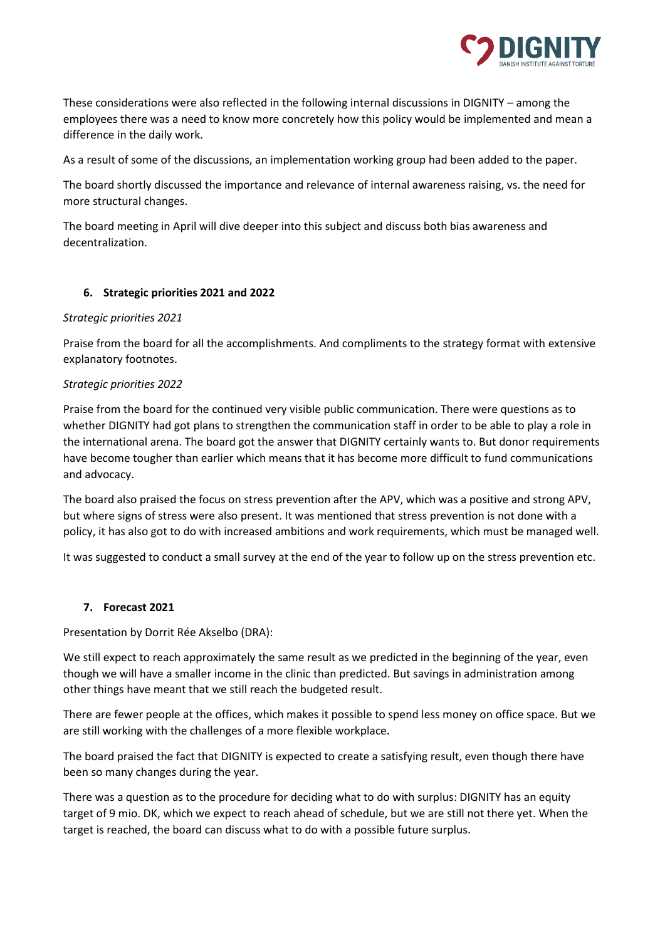

These considerations were also reflected in the following internal discussions in DIGNITY – among the employees there was a need to know more concretely how this policy would be implemented and mean a difference in the daily work.

As a result of some of the discussions, an implementation working group had been added to the paper.

The board shortly discussed the importance and relevance of internal awareness raising, vs. the need for more structural changes.

The board meeting in April will dive deeper into this subject and discuss both bias awareness and decentralization.

### **6. Strategic priorities 2021 and 2022**

#### *Strategic priorities 2021*

Praise from the board for all the accomplishments. And compliments to the strategy format with extensive explanatory footnotes.

#### *Strategic priorities 2022*

Praise from the board for the continued very visible public communication. There were questions as to whether DIGNITY had got plans to strengthen the communication staff in order to be able to play a role in the international arena. The board got the answer that DIGNITY certainly wants to. But donor requirements have become tougher than earlier which means that it has become more difficult to fund communications and advocacy.

The board also praised the focus on stress prevention after the APV, which was a positive and strong APV, but where signs of stress were also present. It was mentioned that stress prevention is not done with a policy, it has also got to do with increased ambitions and work requirements, which must be managed well.

It was suggested to conduct a small survey at the end of the year to follow up on the stress prevention etc.

#### **7. Forecast 2021**

Presentation by Dorrit Rée Akselbo (DRA):

We still expect to reach approximately the same result as we predicted in the beginning of the year, even though we will have a smaller income in the clinic than predicted. But savings in administration among other things have meant that we still reach the budgeted result.

There are fewer people at the offices, which makes it possible to spend less money on office space. But we are still working with the challenges of a more flexible workplace.

The board praised the fact that DIGNITY is expected to create a satisfying result, even though there have been so many changes during the year.

There was a question as to the procedure for deciding what to do with surplus: DIGNITY has an equity target of 9 mio. DK, which we expect to reach ahead of schedule, but we are still not there yet. When the target is reached, the board can discuss what to do with a possible future surplus.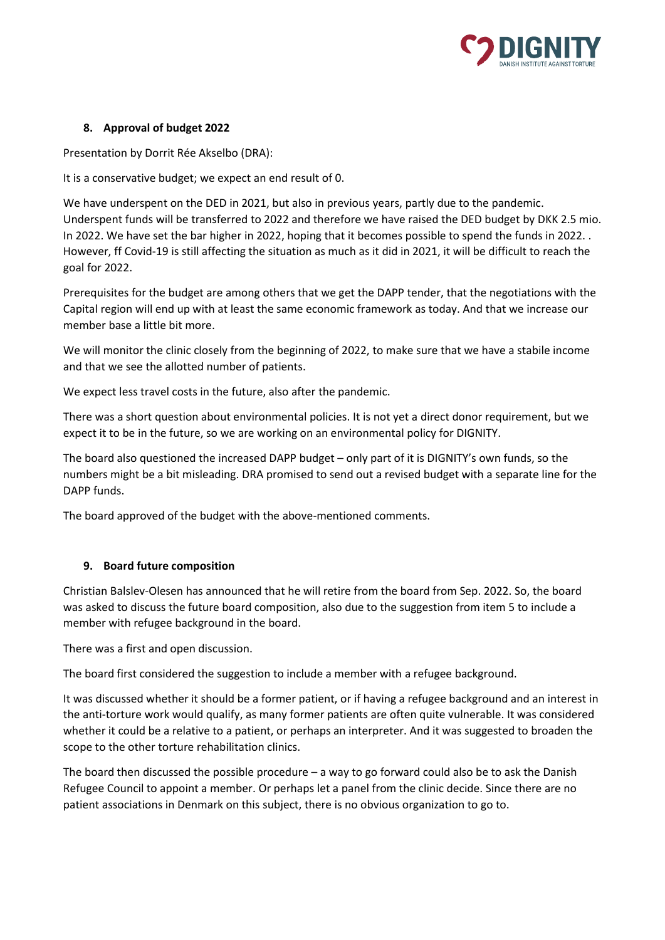

# **8. Approval of budget 2022**

Presentation by Dorrit Rée Akselbo (DRA):

It is a conservative budget; we expect an end result of 0.

We have underspent on the DED in 2021, but also in previous years, partly due to the pandemic. Underspent funds will be transferred to 2022 and therefore we have raised the DED budget by DKK 2.5 mio. In 2022. We have set the bar higher in 2022, hoping that it becomes possible to spend the funds in 2022. . However, ff Covid-19 is still affecting the situation as much as it did in 2021, it will be difficult to reach the goal for 2022.

Prerequisites for the budget are among others that we get the DAPP tender, that the negotiations with the Capital region will end up with at least the same economic framework as today. And that we increase our member base a little bit more.

We will monitor the clinic closely from the beginning of 2022, to make sure that we have a stabile income and that we see the allotted number of patients.

We expect less travel costs in the future, also after the pandemic.

There was a short question about environmental policies. It is not yet a direct donor requirement, but we expect it to be in the future, so we are working on an environmental policy for DIGNITY.

The board also questioned the increased DAPP budget – only part of it is DIGNITY's own funds, so the numbers might be a bit misleading. DRA promised to send out a revised budget with a separate line for the DAPP funds.

The board approved of the budget with the above-mentioned comments.

# **9. Board future composition**

Christian Balslev-Olesen has announced that he will retire from the board from Sep. 2022. So, the board was asked to discuss the future board composition, also due to the suggestion from item 5 to include a member with refugee background in the board.

There was a first and open discussion.

The board first considered the suggestion to include a member with a refugee background.

It was discussed whether it should be a former patient, or if having a refugee background and an interest in the anti-torture work would qualify, as many former patients are often quite vulnerable. It was considered whether it could be a relative to a patient, or perhaps an interpreter. And it was suggested to broaden the scope to the other torture rehabilitation clinics.

The board then discussed the possible procedure  $-$  a way to go forward could also be to ask the Danish Refugee Council to appoint a member. Or perhaps let a panel from the clinic decide. Since there are no patient associations in Denmark on this subject, there is no obvious organization to go to.